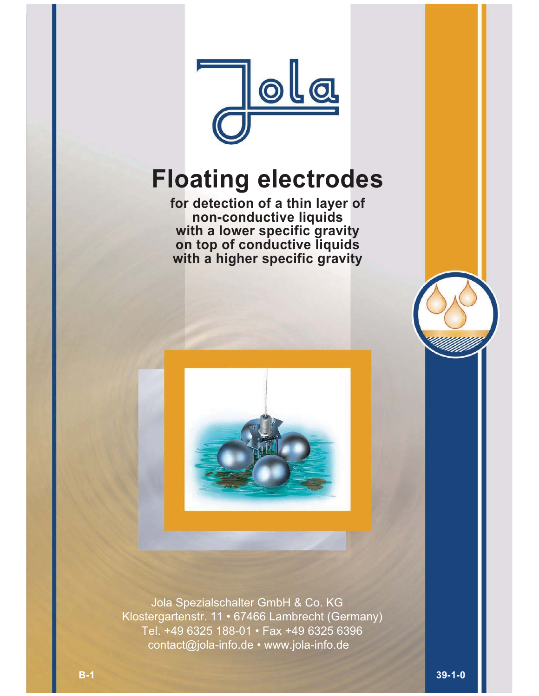

# **Floating electrodes**

**for detection of a thin layer of non-conductive liquids with a lower specific gravity on top of conductive liquids with a higher specific gravity**



 Jola Spezialschalter GmbH & Co. KG Klostergartenstr. 11 • 67466 Lambrecht (Germany) Tel. +49 6325 188-01 • Fax +49 6325 6396 contact@jola-info.de • www.jola-info.de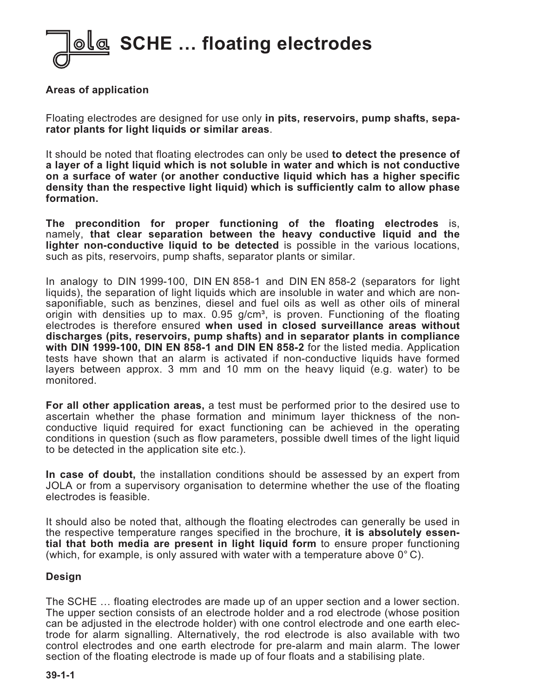

## **Areas of application**

Floating electrodes are designed for use only **in pits, reservoirs, pump shafts, separator plants for light liquids or similar areas**.

It should be noted that floating electrodes can only be used **to detect the presence of a layer of a light liquid which is not soluble in water and which is not conductive on a surface of water (or another conductive liquid which has a higher specific density than the respective light liquid) which is sufficiently calm to allow phase formation.**

**The precondition for proper functioning of the floating electrodes** is, namely, **that clear separation between the heavy conductive liquid and the lighter non-conductive liquid to be detected** is possible in the various locations, such as pits, reservoirs, pump shafts, separator plants or similar.

In analogy to DIN 1999-100, DIN EN 858-1 and DIN EN 858-2 (separators for light liquids), the separation of light liquids which are insoluble in water and which are nonsaponifiable, such as benzines, diesel and fuel oils as well as other oils of mineral origin with densities up to max.  $0.95$  g/cm<sup>3</sup>, is proven. Functioning of the floating electrodes is therefore ensured **when used in closed surveillance areas without discharges (pits, reservoirs, pump shafts) and in separator plants in compliance with DIN 1999-100, DIN EN 858-1 and DIN EN 858-2** for the listed media. Application tests have shown that an alarm is activated if non-conductive liquids have formed layers between approx. 3 mm and 10 mm on the heavy liquid (e.g. water) to be monitored.

**For all other application areas,** a test must be performed prior to the desired use to ascertain whether the phase formation and minimum layer thickness of the nonconductive liquid required for exact functioning can be achieved in the operating conditions in question (such as flow parameters, possible dwell times of the light liquid to be detected in the application site etc.).

**In case of doubt,** the installation conditions should be assessed by an expert from JOLA or from a supervisory organisation to determine whether the use of the floating electrodes is feasible.

It should also be noted that, although the floating electrodes can generally be used in the respective temperature ranges specified in the brochure, **it is absolutely essential that both media are present in light liquid form** to ensure proper functioning (which, for example, is only assured with water with a temperature above  $0^{\circ}$  C).

#### **Design**

The SCHE … floating electrodes are made up of an upper section and a lower section. The upper section consists of an electrode holder and a rod electrode (whose position can be adjusted in the electrode holder) with one control electrode and one earth electrode for alarm signalling. Alternatively, the rod electrode is also available with two control electrodes and one earth electrode for pre-alarm and main alarm. The lower section of the floating electrode is made up of four floats and a stabilising plate.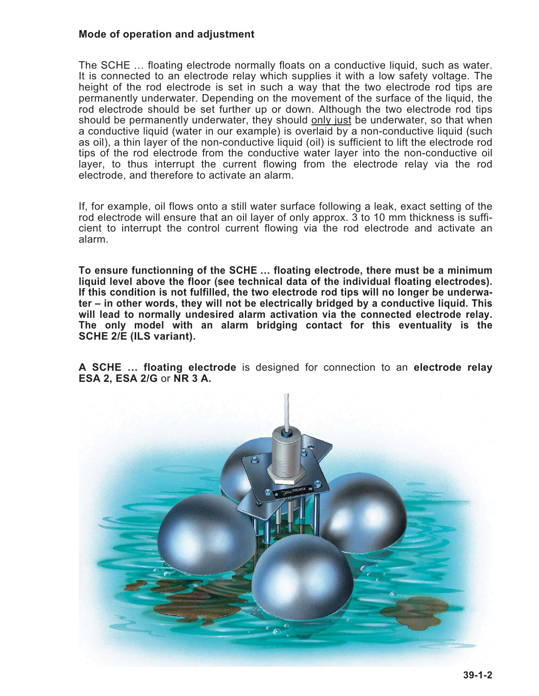## **Mode of operation and adjustment**

The SCHE … floating electrode normally floats on a conductive liquid, such as water. It is connected to an electrode relay which supplies it with a low safety voltage. The height of the rod electrode is set in such a way that the two electrode rod tips are permanently underwater. Depending on the movement of the surface of the liquid, the rod electrode should be set further up or down. Although the two electrode rod tips should be permanently underwater, they should only just be underwater, so that when a conductive liquid (water in our example) is overlaid by a non-conductive liquid (such as oil), a thin layer of the non-conductive liquid (oil) is sufficient to lift the electrode rod tips of the rod electrode from the conductive water layer into the non-conductive oil layer, to thus interrupt the current flowing from the electrode relay via the rod electrode, and therefore to activate an alarm.

If, for example, oil flows onto a still water surface following a leak, exact setting of the rod electrode will ensure that an oil layer of only approx. 3 to 10 mm thickness is sufficient to interrupt the control current flowing via the rod electrode and activate an alarm.

**To ensure functionning of the SCHE … floating electrode, there must be a minimum liquid level above the floor (see technical data of the individual floating electrodes). If this condition is not fulfilled, the two electrode rod tips will no longer be underwater – in other words, they will not be electrically bridged by a conductive liquid. This will lead to normally undesired alarm activation via the connected electrode relay. The only model with an alarm bridging contact for this eventuality is the SCHE 2/E (ILS variant).**

**A SCHE … floating electrode** is designed for connection to an **electrode relay ESA 2, ESA 2/G** or **NR 3 A.**

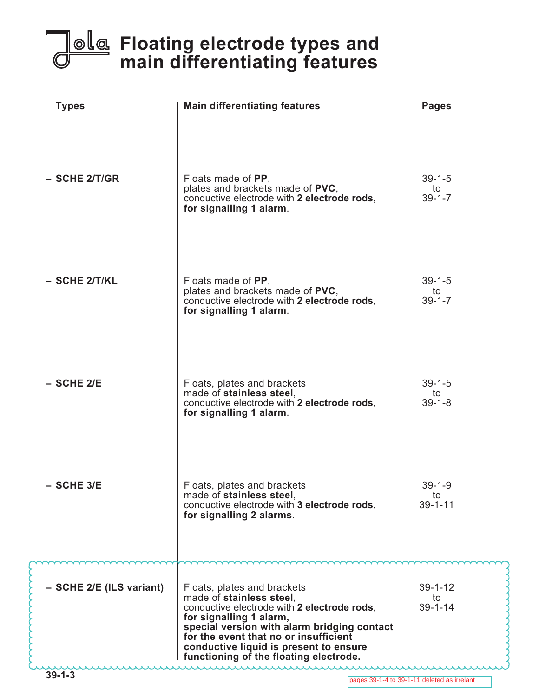# **Floating electrode types and main differentiating features**

| <b>Types</b>             | <b>Main differentiating features</b>                                                                                                                                                                                                                                                                          | <b>Pages</b>                         |
|--------------------------|---------------------------------------------------------------------------------------------------------------------------------------------------------------------------------------------------------------------------------------------------------------------------------------------------------------|--------------------------------------|
| $-$ SCHE 2/T/GR          | Floats made of PP,<br>plates and brackets made of PVC,<br>conductive electrode with 2 electrode rods,<br>for signalling 1 alarm.                                                                                                                                                                              | $39 - 1 - 5$<br>to<br>$39 - 1 - 7$   |
| - SCHE 2/T/KL            | Floats made of PP,<br>plates and brackets made of PVC,<br>conductive electrode with 2 electrode rods,<br>for signalling 1 alarm.                                                                                                                                                                              | $39 - 1 - 5$<br>to<br>$39 - 1 - 7$   |
| $-$ SCHE 2/E             | Floats, plates and brackets<br>made of stainless steel,<br>conductive electrode with 2 electrode rods,<br>for signalling 1 alarm.                                                                                                                                                                             | $39 - 1 - 5$<br>to<br>$39 - 1 - 8$   |
| $-$ SCHE 3/E             | Floats, plates and brackets<br>made of stainless steel,<br>conductive electrode with 3 electrode rods,<br>for signalling 2 alarms.                                                                                                                                                                            | $39 - 1 - 9$<br>to<br>$39 - 1 - 11$  |
| - SCHE 2/E (ILS variant) | Floats, plates and brackets<br>made of stainless steel,<br>conductive electrode with 2 electrode rods,<br>for signalling 1 alarm,<br>special version with alarm bridging contact<br>for the event that no or insufficient<br>conductive liquid is present to ensure<br>functioning of the floating electrode. | $39 - 1 - 12$<br>to<br>$39 - 1 - 14$ |

mmmmmm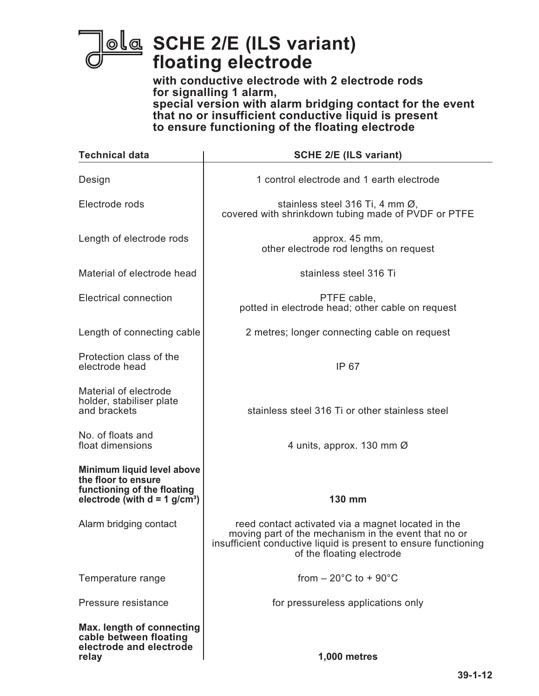

**SCHE 2/E (ILS variant) floating electrode**

**with conductive electrode with 2 electrode rods for signalling 1 alarm, special version with alarm bridging contact for the event that no or insufficient conductive liquid is present to ensure functioning of the floating electrode**

| <b>Technical data</b>                                                                                                           | <b>SCHE 2/E (ILS variant)</b>                                                                                                                                                                              |  |
|---------------------------------------------------------------------------------------------------------------------------------|------------------------------------------------------------------------------------------------------------------------------------------------------------------------------------------------------------|--|
| Design                                                                                                                          | 1 control electrode and 1 earth electrode                                                                                                                                                                  |  |
| Electrode rods                                                                                                                  | stainless steel 316 Ti, 4 mm Ø,<br>covered with shrinkdown tubing made of PVDF or PTFE                                                                                                                     |  |
| Length of electrode rods                                                                                                        | approx. 45 mm,<br>other electrode rod lengths on request                                                                                                                                                   |  |
| Material of electrode head                                                                                                      | stainless steel 316 Ti                                                                                                                                                                                     |  |
| <b>Electrical connection</b>                                                                                                    | PTFE cable,<br>potted in electrode head; other cable on request                                                                                                                                            |  |
| Length of connecting cable                                                                                                      | 2 metres; longer connecting cable on request                                                                                                                                                               |  |
| Protection class of the<br>electrode head                                                                                       | IP 67                                                                                                                                                                                                      |  |
| Material of electrode<br>holder, stabiliser plate<br>and brackets                                                               | stainless steel 316 Ti or other stainless steel                                                                                                                                                            |  |
| No. of floats and<br>float dimensions                                                                                           | 4 units, approx. 130 mm Ø                                                                                                                                                                                  |  |
| Minimum liquid level above<br>the floor to ensure<br>functioning of the floating<br>electrode (with $d = 1$ g/cm <sup>3</sup> ) | 130 mm                                                                                                                                                                                                     |  |
| Alarm bridging contact                                                                                                          | reed contact activated via a magnet located in the<br>moving part of the mechanism in the event that no or<br>insufficient conductive liquid is present to ensure functioning<br>of the floating electrode |  |
| Temperature range                                                                                                               | from $-20^{\circ}$ C to $+90^{\circ}$ C                                                                                                                                                                    |  |
| Pressure resistance                                                                                                             | for pressureless applications only                                                                                                                                                                         |  |
| Max. length of connecting<br>cable between floating<br>electrode and electrode<br>relay                                         | <b>1,000 metres</b>                                                                                                                                                                                        |  |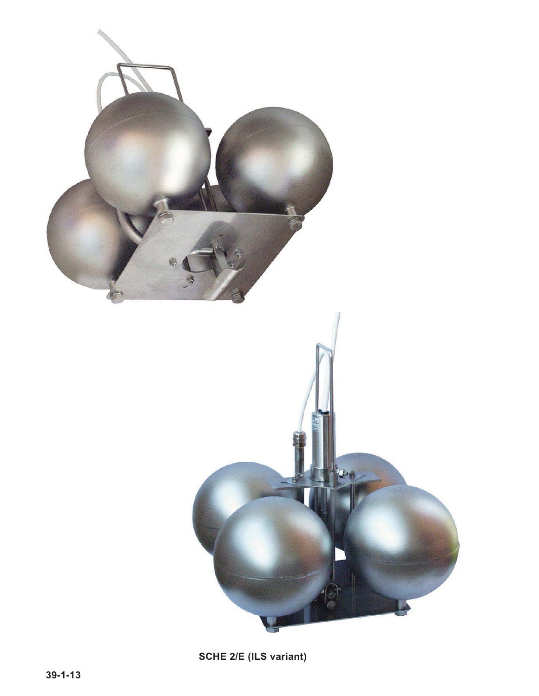

**SCHE 2/E (ILS variant)**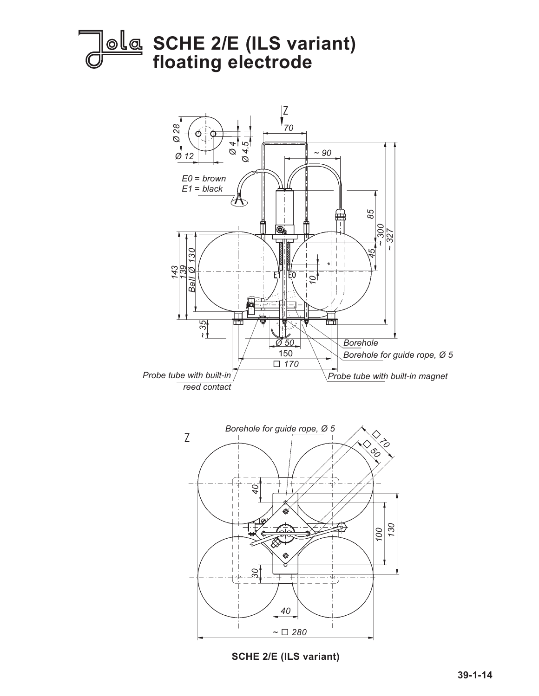



**SCHE 2/E (ILS variant)**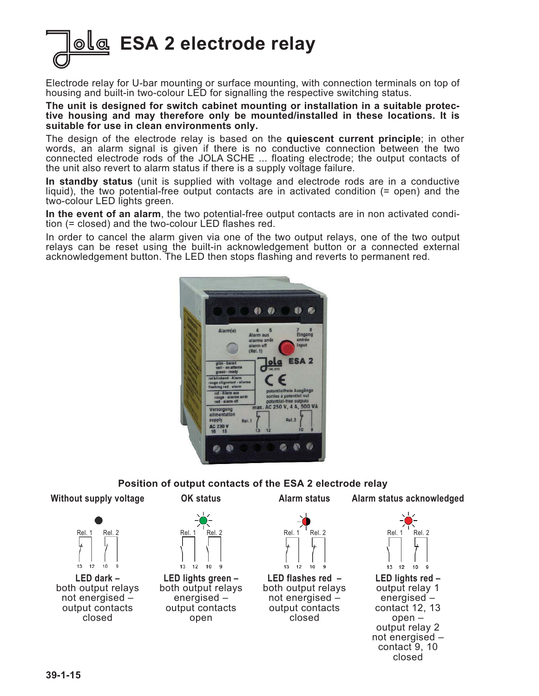**ESA 2 electrode relay**

Electrode relay for U-bar mounting or surface mounting, with connection terminals on top of housing and built-in two-colour LED for signalling the respective switching status.

**The unit is designed for switch cabinet mounting or installation in a suitable protective housing and may therefore only be mounted/installed in these locations. It is suitable for use in clean environments only.**

The design of the electrode relay is based on the **quiescent current principle**; in other words, an alarm signal is given if there is no conductive connection between the two connected electrode rods of the JOLA SCHE ... floating electrode; the output contacts of the unit also revert to alarm status if there is a supply voltage failure.

**In standby status** (unit is supplied with voltage and electrode rods are in a conductive liquid), the two potential-free output contacts are in activated condition (= open) and the two-colour LED lights green.

**In the event of an alarm**, the two potential-free output contacts are in non activated condition (= closed) and the two-colour LED flashes red.

In order to cancel the alarm given via one of the two output relays, one of the two output relays can be reset using the built-in acknowledgement button or a connected external acknowledgement button. The LED then stops flashing and reverts to permanent red.



#### **Position of output contacts of the ESA 2 electrode relay**

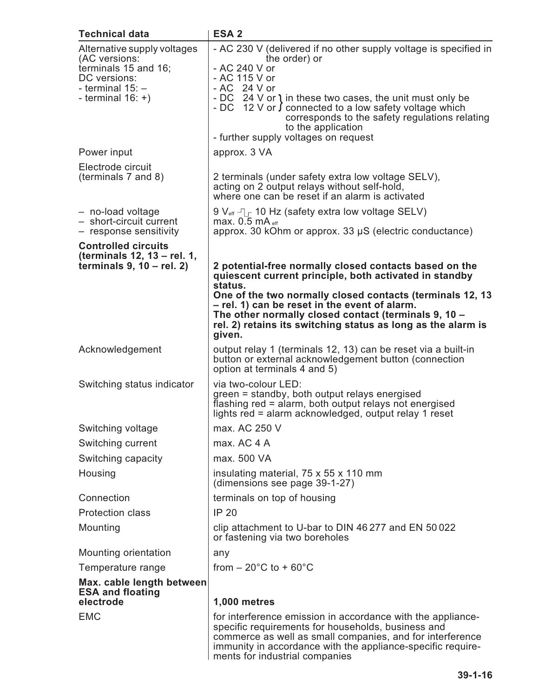| <b>Technical data</b>                                                                                                              | ESA <sub>2</sub>                                                                                                                                                                                                                                                                                                                                                               |
|------------------------------------------------------------------------------------------------------------------------------------|--------------------------------------------------------------------------------------------------------------------------------------------------------------------------------------------------------------------------------------------------------------------------------------------------------------------------------------------------------------------------------|
| Alternative supply voltages<br>(AC versions:<br>terminals 15 and 16;<br>DC versions:<br>- terminal $15:$ -<br>- terminal $16: +$ ) | - AC 230 V (delivered if no other supply voltage is specified in<br>the order) or<br>- AC 240 V or<br>- AC 115 V or<br>- AC 24 V or<br>- DC 24 V or 1 in these two cases, the unit must only be<br>- DC 12 V or $\int$ connected to a low safety voltage which<br>corresponds to the safety regulations relating<br>to the application<br>- further supply voltages on request |
| Power input                                                                                                                        | approx. 3 VA                                                                                                                                                                                                                                                                                                                                                                   |
| Electrode circuit<br>(terminals 7 and 8)                                                                                           | 2 terminals (under safety extra low voltage SELV),<br>acting on 2 output relays without self-hold,<br>where one can be reset if an alarm is activated                                                                                                                                                                                                                          |
| - no-load voltage<br>- short-circuit current<br>- response sensitivity                                                             | 9 $V_{\text{eff}}$ $\Box$ 10 Hz (safety extra low voltage SELV)<br>max. $0.5$ mA $_{\text{eff}}$<br>approx. 30 kOhm or approx. 33 µS (electric conductance)                                                                                                                                                                                                                    |
| <b>Controlled circuits</b><br>(terminals 12, 13 - rel. 1,<br>terminals $9, 10$ – rel. 2)                                           | 2 potential-free normally closed contacts based on the<br>quiescent current principle, both activated in standby<br>status.<br>One of the two normally closed contacts (terminals 12, 13<br>- rel. 1) can be reset in the event of alarm.<br>The other normally closed contact (terminals 9, 10 -<br>rel. 2) retains its switching status as long as the alarm is<br>given.    |
| Acknowledgement                                                                                                                    | output relay 1 (terminals 12, 13) can be reset via a built-in<br>button or external acknowledgement button (connection<br>option at terminals 4 and 5)                                                                                                                                                                                                                         |
| Switching status indicator                                                                                                         | via two-colour LED:<br>green = standby, both output relays energised<br>flashing red = alarm, both output relays not energised<br>lights red = alarm acknowledged, output relay 1 reset                                                                                                                                                                                        |
| Switching voltage                                                                                                                  | max. AC 250 V                                                                                                                                                                                                                                                                                                                                                                  |
| Switching current                                                                                                                  | max. AC 4 A                                                                                                                                                                                                                                                                                                                                                                    |
| Switching capacity                                                                                                                 | max. 500 VA                                                                                                                                                                                                                                                                                                                                                                    |
| Housing                                                                                                                            | insulating material, 75 x 55 x 110 mm<br>(dimensions see page 39-1-27)                                                                                                                                                                                                                                                                                                         |
| Connection                                                                                                                         | terminals on top of housing                                                                                                                                                                                                                                                                                                                                                    |
| <b>Protection class</b>                                                                                                            | <b>IP 20</b>                                                                                                                                                                                                                                                                                                                                                                   |
| Mounting                                                                                                                           | clip attachment to U-bar to DIN 46 277 and EN 50 022<br>or fastening via two boreholes                                                                                                                                                                                                                                                                                         |
| Mounting orientation                                                                                                               | any                                                                                                                                                                                                                                                                                                                                                                            |
| Temperature range                                                                                                                  | from $-20^{\circ}$ C to + 60 $^{\circ}$ C                                                                                                                                                                                                                                                                                                                                      |
| Max. cable length between<br><b>ESA and floating</b><br>electrode                                                                  | <b>1,000 metres</b>                                                                                                                                                                                                                                                                                                                                                            |
| <b>EMC</b>                                                                                                                         | for interference emission in accordance with the appliance-                                                                                                                                                                                                                                                                                                                    |
|                                                                                                                                    | specific requirements for households, business and<br>commerce as well as small companies, and for interference<br>immunity in accordance with the appliance-specific require-<br>ments for industrial companies                                                                                                                                                               |